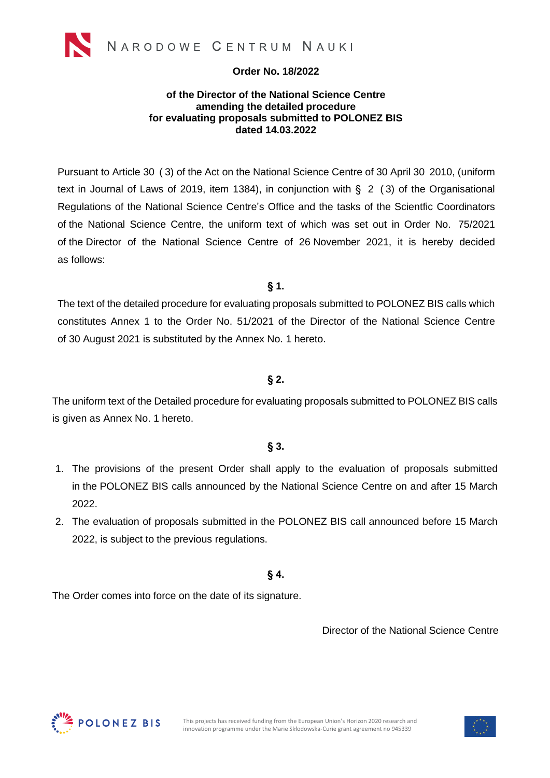

#### **Order No. 18/2022**

#### **of the Director of the National Science Centre amending the detailed procedure for evaluating proposals submitted to POLONEZ BIS dated 14.03.2022**

Pursuant to Article 30 ( 3) of the Act on the National Science Centre of 30 April 30 2010, (uniform text in Journal of Laws of 2019, item 1384), in conjunction with  $\S$  2 (3) of the Organisational Regulations of the National Science Centre's Office and the tasks of the Scientfic Coordinators of the National Science Centre, the uniform text of which was set out in Order No. 75/2021 of the Director of the National Science Centre of 26 November 2021, it is hereby decided as follows:

**§ 1.**

The text of the detailed procedure for evaluating proposals submitted to POLONEZ BIS calls which constitutes Annex 1 to the Order No. 51/2021 of the Director of the National Science Centre of 30 August 2021 is substituted by the Annex No. 1 hereto.

#### **§ 2.**

The uniform text of the Detailed procedure for evaluating proposals submitted to POLONEZ BIS calls is given as Annex No. 1 hereto.

#### **§ 3.**

- 1. The provisions of the present Order shall apply to the evaluation of proposals submitted in the POLONEZ BIS calls announced by the National Science Centre on and after 15 March 2022.
- 2. The evaluation of proposals submitted in the POLONEZ BIS call announced before 15 March 2022, is subject to the previous regulations.

#### **§ 4.**

The Order comes into force on the date of its signature.

Director of the National Science Centre



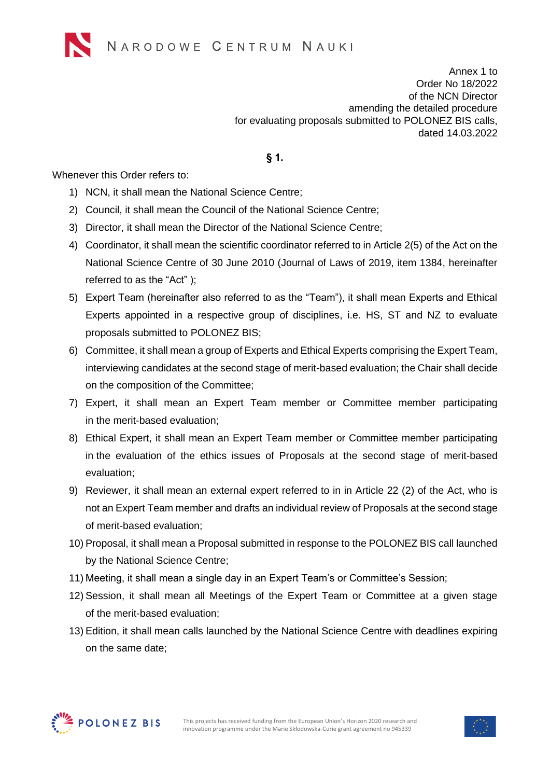Annex 1 to Order No 18/2022 of the NCN Director amending the detailed procedure for evaluating proposals submitted to POLONEZ BIS calls, dated 14.03.2022

**§ 1.**

Whenever this Order refers to:

- 1) NCN, it shall mean the National Science Centre;
- 2) Council, it shall mean the Council of the National Science Centre;
- 3) Director, it shall mean the Director of the National Science Centre;
- 4) Coordinator, it shall mean the scientific coordinator referred to in Article 2(5) of the Act on the National Science Centre of 30 June 2010 (Journal of Laws of 2019, item 1384, hereinafter referred to as the "Act" );
- 5) Expert Team (hereinafter also referred to as the "Team"), it shall mean Experts and Ethical Experts appointed in a respective group of disciplines, i.e. HS, ST and NZ to evaluate proposals submitted to POLONEZ BIS;
- 6) Committee, it shall mean a group of Experts and Ethical Experts comprising the Expert Team, interviewing candidates at the second stage of merit-based evaluation; the Chair shall decide on the composition of the Committee;
- 7) Expert, it shall mean an Expert Team member or Committee member participating in the merit-based evaluation;
- 8) Ethical Expert, it shall mean an Expert Team member or Committee member participating in the evaluation of the ethics issues of Proposals at the second stage of merit-based evaluation;
- 9) Reviewer, it shall mean an external expert referred to in in Article 22 (2) of the Act, who is not an Expert Team member and drafts an individual review of Proposals at the second stage of merit-based evaluation;
- 10) Proposal, it shall mean a Proposal submitted in response to the POLONEZ BIS call launched by the National Science Centre;
- 11) Meeting, it shall mean a single day in an Expert Team's or Committee's Session;
- 12) Session, it shall mean all Meetings of the Expert Team or Committee at a given stage of the merit-based evaluation;
- 13) Edition, it shall mean calls launched by the National Science Centre with deadlines expiring on the same date;



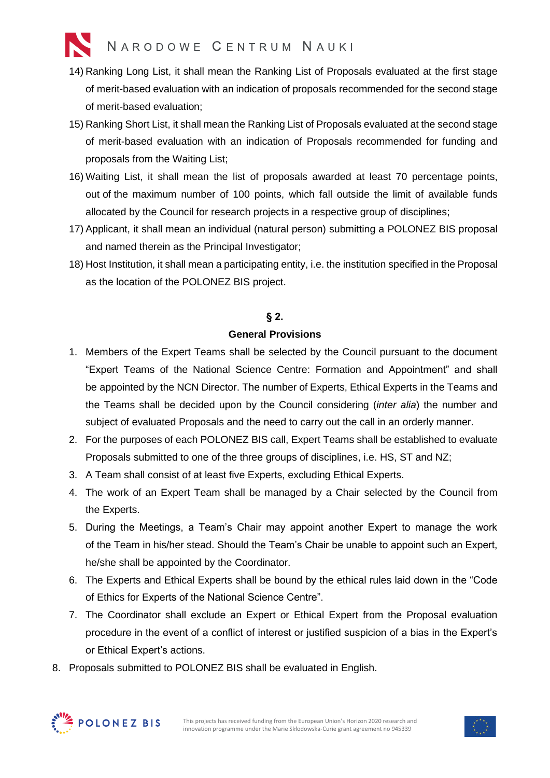- 14) Ranking Long List, it shall mean the Ranking List of Proposals evaluated at the first stage of merit-based evaluation with an indication of proposals recommended for the second stage of merit-based evaluation;
- 15) Ranking Short List, it shall mean the Ranking List of Proposals evaluated at the second stage of merit-based evaluation with an indication of Proposals recommended for funding and proposals from the Waiting List;
- 16) Waiting List, it shall mean the list of proposals awarded at least 70 percentage points, out of the maximum number of 100 points, which fall outside the limit of available funds allocated by the Council for research projects in a respective group of disciplines;
- 17) Applicant, it shall mean an individual (natural person) submitting a POLONEZ BIS proposal and named therein as the Principal Investigator;
- 18) Host Institution, it shall mean a participating entity, i.e. the institution specified in the Proposal as the location of the POLONEZ BIS project.

#### **§ 2.**

#### **General Provisions**

- 1. Members of the Expert Teams shall be selected by the Council pursuant to the document "Expert Teams of the National Science Centre: Formation and Appointment" and shall be appointed by the NCN Director. The number of Experts, Ethical Experts in the Teams and the Teams shall be decided upon by the Council considering (*inter alia*) the number and subject of evaluated Proposals and the need to carry out the call in an orderly manner.
- 2. For the purposes of each POLONEZ BIS call, Expert Teams shall be established to evaluate Proposals submitted to one of the three groups of disciplines, i.e. HS, ST and NZ;
- 3. A Team shall consist of at least five Experts, excluding Ethical Experts.
- 4. The work of an Expert Team shall be managed by a Chair selected by the Council from the Experts.
- 5. During the Meetings, a Team's Chair may appoint another Expert to manage the work of the Team in his/her stead. Should the Team's Chair be unable to appoint such an Expert, he/she shall be appointed by the Coordinator.
- 6. The Experts and Ethical Experts shall be bound by the ethical rules laid down in the "Code of Ethics for Experts of the National Science Centre".
- 7. The Coordinator shall exclude an Expert or Ethical Expert from the Proposal evaluation procedure in the event of a conflict of interest or justified suspicion of a bias in the Expert's or Ethical Expert's actions.
- 8. Proposals submitted to POLONEZ BIS shall be evaluated in English.



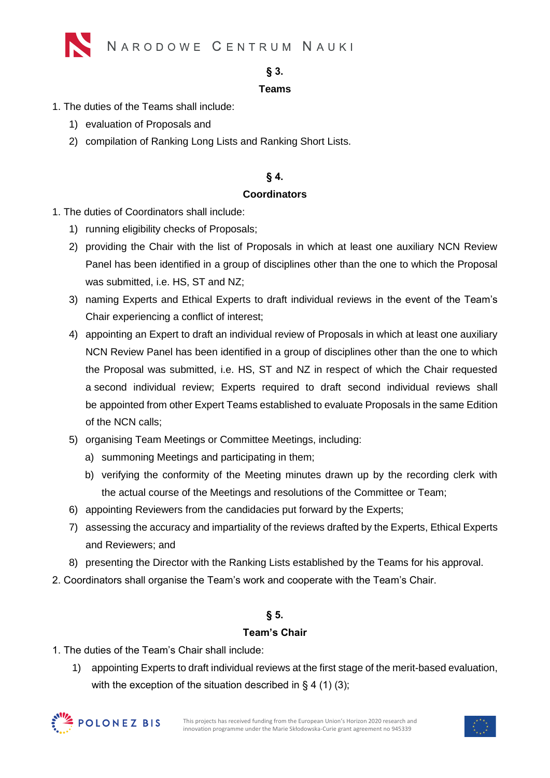

#### **§ 3.**

#### **Teams**

- 1. The duties of the Teams shall include:
	- 1) evaluation of Proposals and
	- 2) compilation of Ranking Long Lists and Ranking Short Lists.

#### **§ 4.**

#### **Coordinators**

- 1. The duties of Coordinators shall include:
	- 1) running eligibility checks of Proposals;
	- 2) providing the Chair with the list of Proposals in which at least one auxiliary NCN Review Panel has been identified in a group of disciplines other than the one to which the Proposal was submitted, i.e. HS, ST and NZ;
	- 3) naming Experts and Ethical Experts to draft individual reviews in the event of the Team's Chair experiencing a conflict of interest;
	- 4) appointing an Expert to draft an individual review of Proposals in which at least one auxiliary NCN Review Panel has been identified in a group of disciplines other than the one to which the Proposal was submitted, i.e. HS, ST and NZ in respect of which the Chair requested a second individual review; Experts required to draft second individual reviews shall be appointed from other Expert Teams established to evaluate Proposals in the same Edition of the NCN calls;
	- 5) organising Team Meetings or Committee Meetings, including:
		- a) summoning Meetings and participating in them;
		- b) verifying the conformity of the Meeting minutes drawn up by the recording clerk with the actual course of the Meetings and resolutions of the Committee or Team;
	- 6) appointing Reviewers from the candidacies put forward by the Experts;
	- 7) assessing the accuracy and impartiality of the reviews drafted by the Experts, Ethical Experts and Reviewers; and
	- 8) presenting the Director with the Ranking Lists established by the Teams for his approval.
- 2. Coordinators shall organise the Team's work and cooperate with the Team's Chair.

### **§ 5.**

#### **Team's Chair**

- 1. The duties of the Team's Chair shall include:
	- 1) appointing Experts to draft individual reviews at the first stage of the merit-based evaluation, with the exception of the situation described in  $\S$  4 (1) (3);



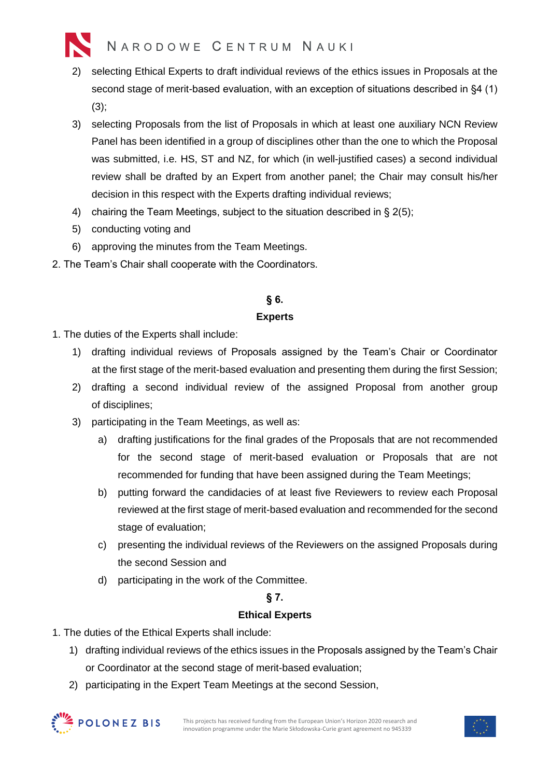

- 2) selecting Ethical Experts to draft individual reviews of the ethics issues in Proposals at the second stage of merit-based evaluation, with an exception of situations described in §4 (1) (3);
- 3) selecting Proposals from the list of Proposals in which at least one auxiliary NCN Review Panel has been identified in a group of disciplines other than the one to which the Proposal was submitted, i.e. HS, ST and NZ, for which (in well-justified cases) a second individual review shall be drafted by an Expert from another panel; the Chair may consult his/her decision in this respect with the Experts drafting individual reviews;
- 4) chairing the Team Meetings, subject to the situation described in § 2(5);
- 5) conducting voting and
- 6) approving the minutes from the Team Meetings.
- 2. The Team's Chair shall cooperate with the Coordinators.

### **§ 6.**

#### **Experts**

- 1. The duties of the Experts shall include:
	- 1) drafting individual reviews of Proposals assigned by the Team's Chair or Coordinator at the first stage of the merit-based evaluation and presenting them during the first Session;
	- 2) drafting a second individual review of the assigned Proposal from another group of disciplines;
	- 3) participating in the Team Meetings, as well as:
		- a) drafting justifications for the final grades of the Proposals that are not recommended for the second stage of merit-based evaluation or Proposals that are not recommended for funding that have been assigned during the Team Meetings;
		- b) putting forward the candidacies of at least five Reviewers to review each Proposal reviewed at the first stage of merit-based evaluation and recommended for the second stage of evaluation;
		- c) presenting the individual reviews of the Reviewers on the assigned Proposals during the second Session and
		- d) participating in the work of the Committee.

#### **§ 7.**

#### **Ethical Experts**

- 1. The duties of the Ethical Experts shall include:
	- 1) drafting individual reviews of the ethics issues in the Proposals assigned by the Team's Chair or Coordinator at the second stage of merit-based evaluation;
	- 2) participating in the Expert Team Meetings at the second Session,



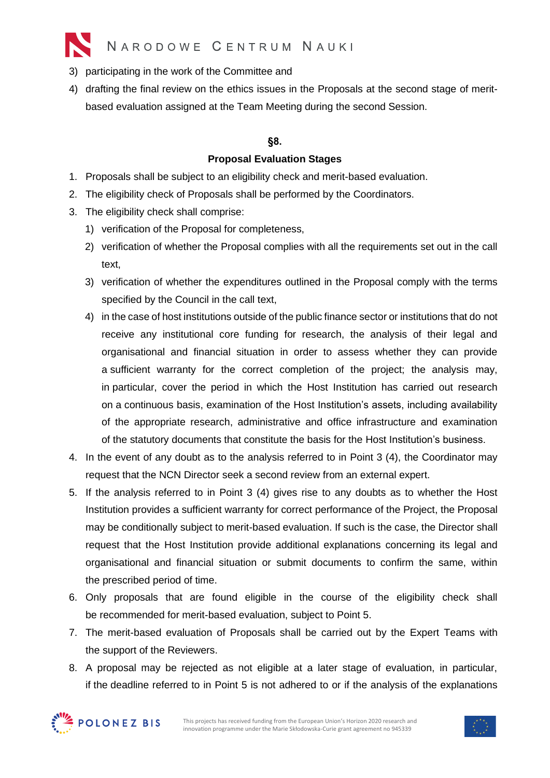

- 3) participating in the work of the Committee and
- 4) drafting the final review on the ethics issues in the Proposals at the second stage of meritbased evaluation assigned at the Team Meeting during the second Session.

#### **§8.**

#### **Proposal Evaluation Stages**

- 1. Proposals shall be subject to an eligibility check and merit-based evaluation.
- 2. The eligibility check of Proposals shall be performed by the Coordinators.
- 3. The eligibility check shall comprise:
	- 1) verification of the Proposal for completeness,
	- 2) verification of whether the Proposal complies with all the requirements set out in the call text,
	- 3) verification of whether the expenditures outlined in the Proposal comply with the terms specified by the Council in the call text,
	- 4) in the case of host institutions outside of the public finance sector or institutions that do not receive any institutional core funding for research, the analysis of their legal and organisational and financial situation in order to assess whether they can provide a sufficient warranty for the correct completion of the project; the analysis may, in particular, cover the period in which the Host Institution has carried out research on a continuous basis, examination of the Host Institution's assets, including availability of the appropriate research, administrative and office infrastructure and examination of the statutory documents that constitute the basis for the Host Institution's business.
- 4. In the event of any doubt as to the analysis referred to in Point 3 (4), the Coordinator may request that the NCN Director seek a second review from an external expert.
- 5. If the analysis referred to in Point 3 (4) gives rise to any doubts as to whether the Host Institution provides a sufficient warranty for correct performance of the Project, the Proposal may be conditionally subject to merit-based evaluation. If such is the case, the Director shall request that the Host Institution provide additional explanations concerning its legal and organisational and financial situation or submit documents to confirm the same, within the prescribed period of time.
- 6. Only proposals that are found eligible in the course of the eligibility check shall be recommended for merit-based evaluation, subject to Point 5.
- 7. The merit-based evaluation of Proposals shall be carried out by the Expert Teams with the support of the Reviewers.
- 8. A proposal may be rejected as not eligible at a later stage of evaluation, in particular, if the deadline referred to in Point 5 is not adhered to or if the analysis of the explanations



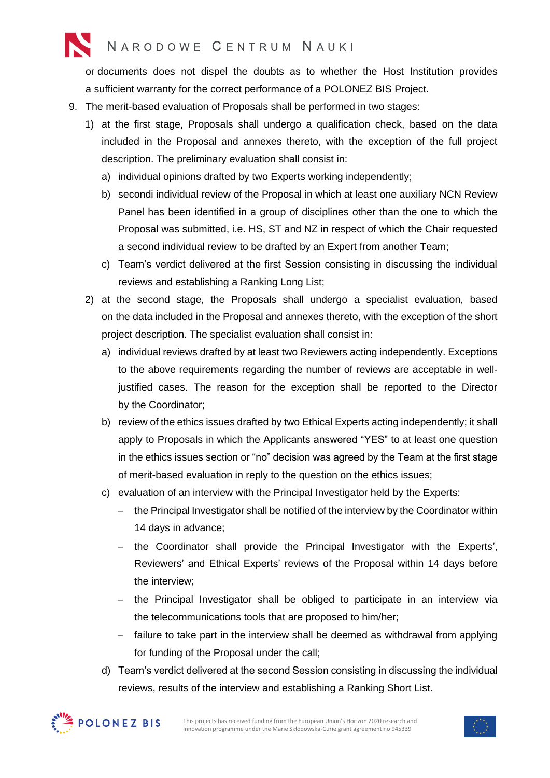## NARODOWE CENTRUM NAUKI

or documents does not dispel the doubts as to whether the Host Institution provides a sufficient warranty for the correct performance of a POLONEZ BIS Project.

- 9. The merit-based evaluation of Proposals shall be performed in two stages:
	- 1) at the first stage, Proposals shall undergo a qualification check, based on the data included in the Proposal and annexes thereto, with the exception of the full project description. The preliminary evaluation shall consist in:
		- a) individual opinions drafted by two Experts working independently;
		- b) secondi individual review of the Proposal in which at least one auxiliary NCN Review Panel has been identified in a group of disciplines other than the one to which the Proposal was submitted, i.e. HS, ST and NZ in respect of which the Chair requested a second individual review to be drafted by an Expert from another Team;
		- c) Team's verdict delivered at the first Session consisting in discussing the individual reviews and establishing a Ranking Long List;
	- 2) at the second stage, the Proposals shall undergo a specialist evaluation, based on the data included in the Proposal and annexes thereto, with the exception of the short project description. The specialist evaluation shall consist in:
		- a) individual reviews drafted by at least two Reviewers acting independently. Exceptions to the above requirements regarding the number of reviews are acceptable in welljustified cases. The reason for the exception shall be reported to the Director by the Coordinator;
		- b) review of the ethics issues drafted by two Ethical Experts acting independently; it shall apply to Proposals in which the Applicants answered "YES" to at least one question in the ethics issues section or "no" decision was agreed by the Team at the first stage of merit-based evaluation in reply to the question on the ethics issues;
		- c) evaluation of an interview with the Principal Investigator held by the Experts:
			- − the Principal Investigator shall be notified of the interview by the Coordinator within 14 days in advance;
			- − the Coordinator shall provide the Principal Investigator with the Experts', Reviewers' and Ethical Experts' reviews of the Proposal within 14 days before the interview;
			- − the Principal Investigator shall be obliged to participate in an interview via the telecommunications tools that are proposed to him/her;
			- − failure to take part in the interview shall be deemed as withdrawal from applying for funding of the Proposal under the call;
		- d) Team's verdict delivered at the second Session consisting in discussing the individual reviews, results of the interview and establishing a Ranking Short List.



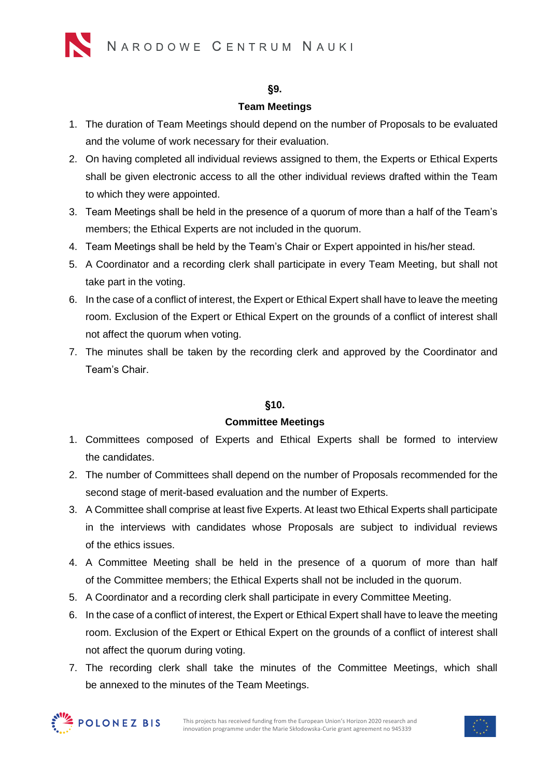### **§9.**

### **Team Meetings**

- 1. The duration of Team Meetings should depend on the number of Proposals to be evaluated and the volume of work necessary for their evaluation.
- 2. On having completed all individual reviews assigned to them, the Experts or Ethical Experts shall be given electronic access to all the other individual reviews drafted within the Team to which they were appointed.
- 3. Team Meetings shall be held in the presence of a quorum of more than a half of the Team's members; the Ethical Experts are not included in the quorum.
- 4. Team Meetings shall be held by the Team's Chair or Expert appointed in his/her stead.
- 5. A Coordinator and a recording clerk shall participate in every Team Meeting, but shall not take part in the voting.
- 6. In the case of a conflict of interest, the Expert or Ethical Expert shall have to leave the meeting room. Exclusion of the Expert or Ethical Expert on the grounds of a conflict of interest shall not affect the quorum when voting.
- 7. The minutes shall be taken by the recording clerk and approved by the Coordinator and Team's Chair.

### **§10.**

### **Committee Meetings**

- 1. Committees composed of Experts and Ethical Experts shall be formed to interview the candidates.
- 2. The number of Committees shall depend on the number of Proposals recommended for the second stage of merit-based evaluation and the number of Experts.
- 3. A Committee shall comprise at least five Experts. At least two Ethical Experts shall participate in the interviews with candidates whose Proposals are subject to individual reviews of the ethics issues.
- 4. A Committee Meeting shall be held in the presence of a quorum of more than half of the Committee members; the Ethical Experts shall not be included in the quorum.
- 5. A Coordinator and a recording clerk shall participate in every Committee Meeting.
- 6. In the case of a conflict of interest, the Expert or Ethical Expert shall have to leave the meeting room. Exclusion of the Expert or Ethical Expert on the grounds of a conflict of interest shall not affect the quorum during voting.
- 7. The recording clerk shall take the minutes of the Committee Meetings, which shall be annexed to the minutes of the Team Meetings.



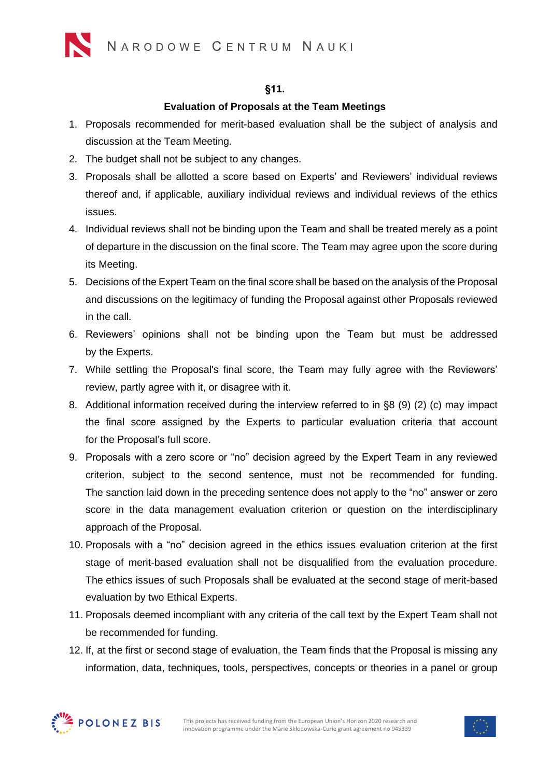

#### **§11.**

#### **Evaluation of Proposals at the Team Meetings**

- 1. Proposals recommended for merit-based evaluation shall be the subject of analysis and discussion at the Team Meeting.
- 2. The budget shall not be subject to any changes.
- 3. Proposals shall be allotted a score based on Experts' and Reviewers' individual reviews thereof and, if applicable, auxiliary individual reviews and individual reviews of the ethics issues.
- 4. Individual reviews shall not be binding upon the Team and shall be treated merely as a point of departure in the discussion on the final score. The Team may agree upon the score during its Meeting.
- 5. Decisions of the Expert Team on the final score shall be based on the analysis of the Proposal and discussions on the legitimacy of funding the Proposal against other Proposals reviewed in the call.
- 6. Reviewers' opinions shall not be binding upon the Team but must be addressed by the Experts.
- 7. While settling the Proposal's final score, the Team may fully agree with the Reviewers' review, partly agree with it, or disagree with it.
- 8. Additional information received during the interview referred to in §8 (9) (2) (c) may impact the final score assigned by the Experts to particular evaluation criteria that account for the Proposal's full score.
- 9. Proposals with a zero score or "no" decision agreed by the Expert Team in any reviewed criterion, subject to the second sentence, must not be recommended for funding. The sanction laid down in the preceding sentence does not apply to the "no" answer or zero score in the data management evaluation criterion or question on the interdisciplinary approach of the Proposal.
- 10. Proposals with a "no" decision agreed in the ethics issues evaluation criterion at the first stage of merit-based evaluation shall not be disqualified from the evaluation procedure. The ethics issues of such Proposals shall be evaluated at the second stage of merit-based evaluation by two Ethical Experts.
- 11. Proposals deemed incompliant with any criteria of the call text by the Expert Team shall not be recommended for funding.
- 12. If, at the first or second stage of evaluation, the Team finds that the Proposal is missing any information, data, techniques, tools, perspectives, concepts or theories in a panel or group



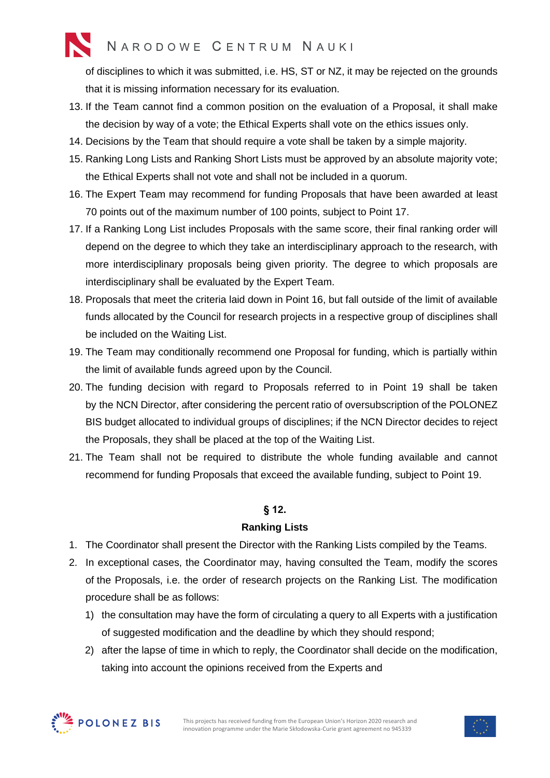# NARODOWE CENTRUM NAUKI

of disciplines to which it was submitted, i.e. HS, ST or NZ, it may be rejected on the grounds that it is missing information necessary for its evaluation.

- 13. If the Team cannot find a common position on the evaluation of a Proposal, it shall make the decision by way of a vote; the Ethical Experts shall vote on the ethics issues only.
- 14. Decisions by the Team that should require a vote shall be taken by a simple majority.
- 15. Ranking Long Lists and Ranking Short Lists must be approved by an absolute majority vote; the Ethical Experts shall not vote and shall not be included in a quorum.
- 16. The Expert Team may recommend for funding Proposals that have been awarded at least 70 points out of the maximum number of 100 points, subject to Point 17.
- 17. If a Ranking Long List includes Proposals with the same score, their final ranking order will depend on the degree to which they take an interdisciplinary approach to the research, with more interdisciplinary proposals being given priority. The degree to which proposals are interdisciplinary shall be evaluated by the Expert Team.
- 18. Proposals that meet the criteria laid down in Point 16, but fall outside of the limit of available funds allocated by the Council for research projects in a respective group of disciplines shall be included on the Waiting List.
- 19. The Team may conditionally recommend one Proposal for funding, which is partially within the limit of available funds agreed upon by the Council.
- 20. The funding decision with regard to Proposals referred to in Point 19 shall be taken by the NCN Director, after considering the percent ratio of oversubscription of the POLONEZ BIS budget allocated to individual groups of disciplines; if the NCN Director decides to reject the Proposals, they shall be placed at the top of the Waiting List.
- 21. The Team shall not be required to distribute the whole funding available and cannot recommend for funding Proposals that exceed the available funding, subject to Point 19.

### **§ 12.**

#### **Ranking Lists**

- 1. The Coordinator shall present the Director with the Ranking Lists compiled by the Teams.
- 2. In exceptional cases, the Coordinator may, having consulted the Team, modify the scores of the Proposals, i.e. the order of research projects on the Ranking List. The modification procedure shall be as follows:
	- 1) the consultation may have the form of circulating a query to all Experts with a justification of suggested modification and the deadline by which they should respond;
	- 2) after the lapse of time in which to reply, the Coordinator shall decide on the modification, taking into account the opinions received from the Experts and